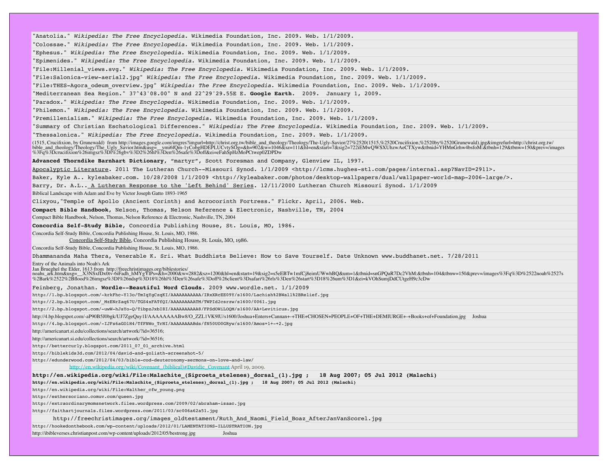"Anatolia." *Wikipedia: The Free Encyclopedia.* Wikimedia Foundation, Inc. 2009. Web. 1/1/2009.

"Colossae." *Wikipedia: The Free Encyclopedia.* Wikimedia Foundation, Inc. 2009. Web. 1/1/2009.

"Ephesus." *Wikipedia: The Free Encyclopedia.* Wikimedia Foundation, Inc. 2009. Web. 1/1/2009.

"Epimenides." *Wikipedia: The Free Encyclopedia.* Wikimedia Foundation, Inc. 2009. Web. 1/1/2009.

"File:Millenial\_views.svg." *Wikipedia: The Free Encyclopedia.* Wikimedia Foundation, Inc. 2009. Web. 1/1/2009.

"File:Salonica-view-aerial2.jpg" *Wikipedia: The Free Encyclopedia.* Wikimedia Foundation, Inc. 2009. Web. 1/1/2009.

"File:THES-Agora\_odeum\_overview.jpg" *Wikipedia: The Free Encyclopedia.* Wikimedia Foundation, Inc. 2009. Web. 1/1/2009.

"Mediterranean Sea Region." 37^43'08.00" N and 22^29'29.55E E. **Google Earth**. 2009. January 1, 2009.

"Paradox." *Wikipedia: The Free Encyclopedia.* Wikimedia Foundation, Inc. 2009. Web. 1/1/2009.

"Philemon." *Wikipedia: The Free Encyclopedia.* Wikimedia Foundation, Inc. 2009. Web. 1/1/2009.

"Premillenialism." *Wikipedia: The Free Encyclopedia.* Wikimedia Foundation, Inc. 2009. Web. 1/1/2009.

"Summary of Christian Eschatological Differences." *Wikipedia: The Free Encyclopedia.* Wikimedia Foundation, Inc. 2009. Web. 1/1/2009.

"Thessalonica." *Wikipedia: The Free Encyclopedia.* Wikimedia Foundation, Inc. 2009. Web. 1/1/2009.

(1515, Crucifixion, by Grunewald) from http://images.google.com/imgres?imgurl=http://christ.org.tw/bible\_and\_theology/Theology/The-Ugly-Savior/27%2520(1515,%2520Crucifixion,%2520by%2520Grunewald).jpg&imgrefurl=http://chris bible\_and\_theology/Theology/The\_Ugly\_Savior.htm&usg=\_\_ymi6fQm-1yCobgHDEPLUCvtySOg=&h=902&w=1046&sz=111&hl=en&start=7&sig2=722iEMwQWSXUhzwAeCTXyw&tbnid=YHMnGrhw4bsfoM:&tbnh=129&tbnw=150&prev=/images<br>%3Fq%3Dcrucifixion%26img

**Advanced Thorndike Barnhart Dictionary**, "martyr", Scott Foresman and Company, Glenview IL, 1997.

Apocalyptic Literature. 2011 The Lutheran Church--Missouri Synod. 1/1/2009 <http://lcms.hughes-stl.com/pages/internal.asp?NavID=2911>.

Baker, Kyle A.. kyleabaker.com. 10/28/2008 1/1/2009 <http://kyleabaker.com/photos/desktop-wallpapers/dual/wallpaper-world-map-2006-large/>.

Barry, Dr. A.L.. A Lutheran Response to the 'Left Behind' Series. 12/11/2000 Lutheran Church Missouri Synod. 1/1/2009

Biblical Landscape with Adam and Eve by Victor Joseph Gatto 1893-1965

Clixyou,"Temple of Apollo (Ancient Corinth) and Acrocorinth Fortress." Flickr. April, 2006. Web.

**Compact Bible Handbook**, Nelson, Thomas, Nelson Reference & Electronic, Nashville, TN, 2004

Compact Bible Handbook, Nelson, Thomas, Nelson Reference & Electronic, Nashville, TN, 2004

**Concordia Self-Study Bible**, Concordia Publishing House, St. Louis, MO, 1986.

Concordia Self-Study Bible, Concordia Publishing House, St. Louis, MO, 1986.

Concordia Self-Study Bible, Concordia Publishing House, St. Louis, MO, 1986.

Concordia Self-Study Bible, Concordia Publishing House, St. Louis, MO, 1986.

Dhammananda Maha Thera, Venerable K. Sri. What Buddhists Believe: How to Save Yourself. Date Unknown www.buddhanet.net. 7/28/2011

Entry of the Animals into Noah's Ark

-and backless and marger N3NSxfDx0tv-6iFadh\_hMYgYlPs=&h=2000&w=2882&sz=1200&hl=en&start=19&sig2=s5eEBTw1mfCj8eimUWwhBQ&um=1&tbnid=snGPQaR7Dc2VhM:&tbnh=104&tbnv=150&prev=/images%3Fq%3D%2522noah%2527s %2Bark%2522%2Bflood%26imgsz%3Dl%26ndsp%3D18%26hl%3Den%26safe%3Doff%26client%3Dsafari%26rls%3Den%26start%3D18%26um%3D1&ei=kVOhSumjDdCUtgeH9c3cDw

Feinberg, Jonathan. **Wordle--Beautiful Word Clouds**. 2009 www.wordle.net. 1/1/2009

http://1.bp.blogspot.com/-krkFhc-Y13o/TmIqYgCzqKI/AAAAAAAAAAA/IRxXRcEE09Y/s1600/Lachish%2BWall%2BRelief.jpg

http://2.bp.blogspot.com/\_MzENrZaq67U/TGS4xFATfQI/AAAAAAAAATM/TWPId2csrzw/s1600/0061.jpg

http://2.bp.blogspot.com/-uwW-hJsYo-Q/TibpzJxbI8I/AAAAAAAAAA8/FPSdOWiLOQM/s1600/AA+Leviticus.jpg

http://4.bp.blogspot.com/-aP90B5J0bgk/UJ7ZgeQuy1I/AAAAAAAABw8/O\_ZZL1VK9lU/s1600/Joshua+Enters+Cannan+-+THE+CHOSEN+PEOPLE+OF+THE+DEMIURGE+-+Books+of+Foundation.jpg Joshua

http://4.bp.blogspot.com/-IJFs6aGOlH4/TfFNWo\_TrNI/AAAAAAAABds/fN50UO0GRyw/s1600/Amos+1+-+2.jpg

http://americanart.si.edu/collections/search/artwork/?id=36516;

http://americanart.si.edu/collections/search/artwork/?id=36516;

http://bettercurly.blogspot.com/2011\_07\_01\_archive.html

http://biblekids3d.com/2012/04/david-and-goliath-screenshot-5/

http://edunderwood.com/2012/04/03/bible-cod-deuteronomy-sermons-on-love-and-law/

http://en.wikipedia.org/wiki/Covenant\_(biblical)#Davidic\_Covenant April 19, 2009.

**http://en.wikipedia.org/wiki/File:Malachite\_(Siproeta\_stelenes)\_dorsal\_(1).jpg ; 18 Aug 2007; 05 Jul 2012 (Malachi)**

**http://en.wikipedia.org/wiki/File:Malachite\_(Siproeta\_stelenes)\_dorsal\_(1).jpg ; 18 Aug 2007; 05 Jul 2012 (Malachi)**

http://en.wikipedia.org/wiki/File:Walther\_cfw\_young.png

http://esthersoriano.comuv.com/queen.jpg

http://extraordinarymomsnetwork.files.wordpress.com/2009/02/abraham-isaac.jpg

http://faithartjournals.files.wordpress.com/2011/03/sc006a62a51.jpg

http://freechristimages.org/images\_oldtestament/Ruth\_And\_Naomi\_Field\_Boaz\_AfterJanVanScorel.jpg

http://hookedonthebook.com/wp-content/uploads/2012/01/LAMENTATIONS-ILLUSTRATION.jpg

http://ibibleverses.christianpost.com/wp-content/uploads/2012/05/bestrong.jpg Joshua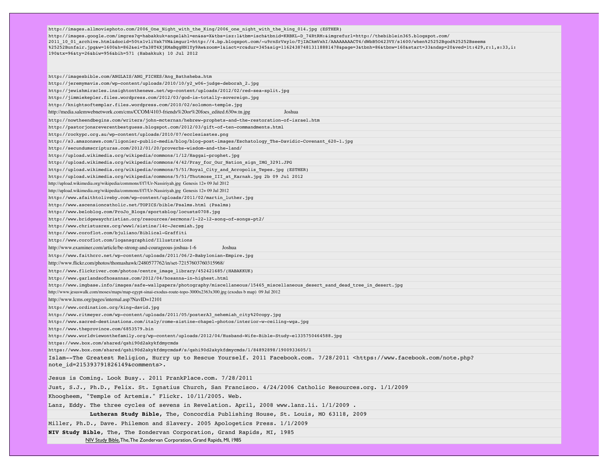http://images.allmoviephoto.com/2006\_One\_Night\_with\_the\_King/2006\_one\_night\_with\_the\_king\_014.jpg (ESTHER) http://images.google.com/imgres?q=habakkuk+angel&hl=en&sa=X&tbs=isz:l&tbm=isch&tbnid=KRBKL-D\_74RtRM:&imgrefurl=http://thebiblein365.blogspot.com/ 2011\_10\_01\_archive.html&docid=50tx1vliVak7VM&imgurl=http://4.bp.blogspot.com/-u9rnSrVxylo/TjIACkmVxhI/AAAAAAAACT4/dWbB50423VY/s1600/when%25252Bgod%25252Bseems<br>%25252Bunfair.jpg&w=1600&h=862&ei=Ta38T4XjKMaBqgHNlYy9Aw&zoom=1 190&tx=96&ty=26&biw=956&bih=571 (Habakkuk) 10 Jul 2012

NIV Study Bible, The, The Zondervan Corporation, Grand Rapids, MI, 1985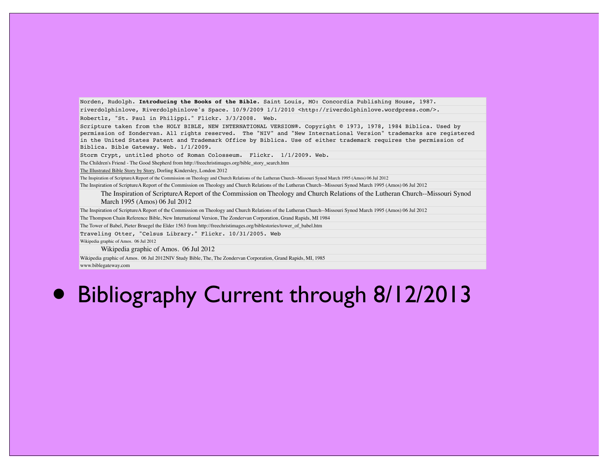Norden, Rudolph. **Introducing the Books of the Bible**. Saint Louis, MO: Concordia Publishing House, 1987.

riverdolphinlove, Riverdolphinlove's Space. 10/9/2009 1/1/2010 <http://riverdolphinlove.wordpress.com/>.

Robertlz, "St. Paul in Philippi." Flickr. 3/3/2008. Web.

Scripture taken from the HOLY BIBLE, NEW INTERNATIONAL VERSION®. Copyright © 1973, 1978, 1984 Biblica. Used by permission of Zondervan. All rights reserved. The "NIV" and "New International Version" trademarks are registered in the United States Patent and Trademark Office by Biblica. Use of either trademark requires the permission of Biblica. Bible Gateway. Web. 1/1/2009.

Storm Crypt, untitled photo of Roman Colosseum. Flickr. 1/1/2009. Web.

The Children's Friend - The Good Shepherd from http://freechristimages.org/bible\_story\_search.htm

The Illustrated Bible Story by Story, Dorling Kindersley, London 2012

The Inspiration of ScriptureA Report of the Commission on Theology and Church Relations of the Lutheran Church--Missouri Synod March 1995 (Amos) 06 Jul 2012

The Inspiration of ScriptureA Report of the Commission on Theology and Church Relations of the Lutheran Church--Missouri Synod March 1995 (Amos) 06 Jul 2012

The Inspiration of ScriptureA Report of the Commission on Theology and Church Relations of the Lutheran Church--Missouri Synod March 1995 (Amos) 06 Jul 2012

The Inspiration of ScriptureA Report of the Commission on Theology and Church Relations of the Lutheran Church--Missouri Synod March 1995 (Amos) 06 Jul 2012

The Thompson Chain Reference Bible, New International Version, The Zondervan Corporation, Grand Rapids, MI 1984

The Tower of Babel, Pieter Bruegel the Elder 1563 from http://freechristimages.org/biblestories/tower\_of\_babel.htm

Traveling Otter, "Celsus Library." Flickr. 10/31/2005. Web Wikipedia graphic of Amos. 06 Jul 2012

Wikipedia graphic of Amos. 06 Jul 2012

Wikipedia graphic of Amos. 06 Jul 2012NIV Study Bible, The, The Zondervan Corporation, Grand Rapids, MI, 1985 www.biblegateway.com

## • Bibliography Current through 8/12/2013